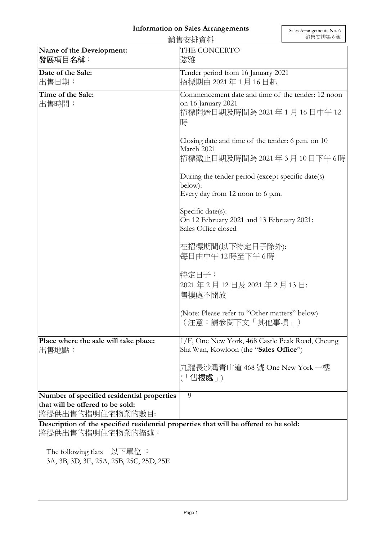## Information on Sales Arrangements

|                                                                                                          | 銷售安排資料                                                                                                                                                                                                                                                                      | 銷售安排第6號 |
|----------------------------------------------------------------------------------------------------------|-----------------------------------------------------------------------------------------------------------------------------------------------------------------------------------------------------------------------------------------------------------------------------|---------|
| Name of the Development:<br>發展項目名稱:                                                                      | THE CONCERTO<br>弦雅                                                                                                                                                                                                                                                          |         |
| Date of the Sale:<br>出售日期:                                                                               | Tender period from 16 January 2021<br>招標期由 2021年1月16日起                                                                                                                                                                                                                      |         |
| Time of the Sale:<br>出售時間:                                                                               | Commencement date and time of the tender: 12 noon<br>on 16 January 2021<br>招標開始日期及時間為 2021 年 1 月 16 日中午 12<br>時                                                                                                                                                             |         |
|                                                                                                          | Closing date and time of the tender: 6 p.m. on 10<br>March 2021<br>招標截止日期及時間為 2021 年 3 月 10 日下午 6 時                                                                                                                                                                         |         |
|                                                                                                          | During the tender period (except specific date(s)<br>below):<br>Every day from 12 noon to 6 p.m.<br>Specific date(s):<br>On 12 February 2021 and 13 February 2021:<br>Sales Office closed<br>在招標期間(以下特定日子除外):<br>每日由中午12時至下午6時<br>特定日子:<br>2021年2月12日及2021年2月13日:<br>售樓處不開放 |         |
|                                                                                                          |                                                                                                                                                                                                                                                                             |         |
|                                                                                                          |                                                                                                                                                                                                                                                                             |         |
|                                                                                                          |                                                                                                                                                                                                                                                                             |         |
|                                                                                                          | (Note: Please refer to "Other matters" below)<br>(注意:請參閱下文「其他事項」)                                                                                                                                                                                                           |         |
| Place where the sale will take place:<br>出售地點:                                                           | 1/F, One New York, 468 Castle Peak Road, Cheung<br>Sha Wan, Kowloon (the "Sales Office")                                                                                                                                                                                    |         |
|                                                                                                          | 九龍長沙灣青山道 468 號 One New York 一樓<br>(「售樓處」)                                                                                                                                                                                                                                   |         |
| Number of specified residential properties<br>that will be offered to be sold:<br> 將提供出售的指明住宅物業的數目:      | 9                                                                                                                                                                                                                                                                           |         |
| Description of the specified residential properties that will be offered to be sold:<br>將提供出售的指明住宅物業的描述: |                                                                                                                                                                                                                                                                             |         |
| The following flats $\Delta \cup \overline{E}$ 工作 i<br>3A, 3B, 3D, 3E, 25A, 25B, 25C, 25D, 25E           |                                                                                                                                                                                                                                                                             |         |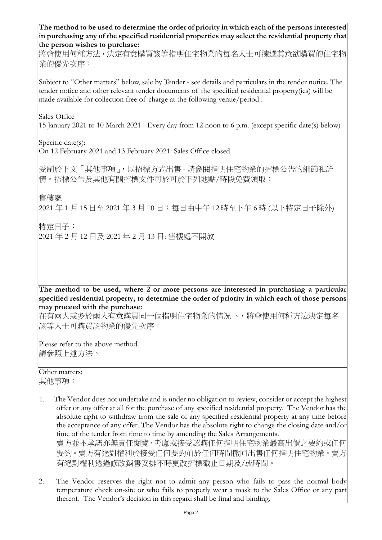The method to be used to determine the order of priority in which each of the persons interested in purchasing any of the specified residential properties may select the residential property that the person wishes to purchase:

將會使用何種方法,決定有意購買該等指明住宅物業的每名人士可揀選其意欲購買的住宅物 業的優先次序:

Subject to "Other matters" below, sale by Tender - see details and particulars in the tender notice. The tender notice and other relevant tender documents of the specified residential property(ies) will be made available for collection free of charge at the following venue/period :

Sales Office

15 January 2021 to 10 March 2021 - Every day from 12 noon to 6 p.m. (except specific date(s) below)

Specific date(s):

On 12 February 2021 and 13 February 2021: Sales Office closed

受制於下文「其他事項」,以招標方式出售 - 請參閱指明住宅物業的招標公告的細節和詳 情。招標公告及其他有關招標文件可於可於下列地點/時段免費領取:

售樓處

2021 年 1 月 15 日至 2021 年 3 月 10 日:每日由中午 12 時至下午 6 時 (以下特定日子除外)

特定日子:

2021 年 2 月 12 日及 2021 年 2 月 13 日: 售樓處不開放

The method to be used, where 2 or more persons are interested in purchasing a particular specified residential property, to determine the order of priority in which each of those persons may proceed with the purchase:

在有兩人或多於兩人有意購買同一個指明住宅物業的情況下,將會使用何種方法決定每名 該等人士可購買該物業的優先次序:

Please refer to the above method. 請參照上述方法。

Other matters: 其他事項:

- 1. The Vendor does not undertake and is under no obligation to review, consider or accept the highest offer or any offer at all for the purchase of any specified residential property. The Vendor has the absolute right to withdraw from the sale of any specified residential property at any time before the acceptance of any offer. The Vendor has the absolute right to change the closing date and/or time of the tender from time to time by amending the Sales Arrangements. 賣方並不承諾亦無責任閱覽、考慮或接受認購任何指明住宅物業最高出價之要約或任何 要約。賣方有絕對權利於接受任何要約前於任何時間撤回出售任何指明住宅物業。賣方 有絕對權利透過修改銷售安排不時更改招標截止日期及/或時間。
- 2. The Vendor reserves the right not to admit any person who fails to pass the normal body temperature check on-site or who fails to properly wear a mask to the Sales Office or any part thereof. The Vendor's decision in this regard shall be final and binding.